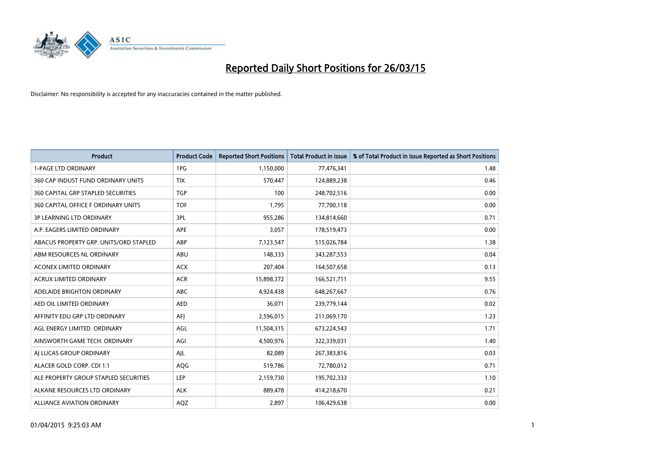

| <b>Product</b>                         | <b>Product Code</b> | <b>Reported Short Positions</b> | <b>Total Product in Issue</b> | % of Total Product in Issue Reported as Short Positions |
|----------------------------------------|---------------------|---------------------------------|-------------------------------|---------------------------------------------------------|
| <b>1-PAGE LTD ORDINARY</b>             | 1PG                 | 1,150,000                       | 77,476,341                    | 1.48                                                    |
| 360 CAP INDUST FUND ORDINARY UNITS     | <b>TIX</b>          | 570,447                         | 124,889,238                   | 0.46                                                    |
| 360 CAPITAL GRP STAPLED SECURITIES     | <b>TGP</b>          | 100                             | 248,702,516                   | 0.00                                                    |
| 360 CAPITAL OFFICE F ORDINARY UNITS    | <b>TOF</b>          | 1,795                           | 77,700,118                    | 0.00                                                    |
| <b>3P LEARNING LTD ORDINARY</b>        | 3PL                 | 955,286                         | 134,814,660                   | 0.71                                                    |
| A.P. EAGERS LIMITED ORDINARY           | <b>APE</b>          | 3,057                           | 178,519,473                   | 0.00                                                    |
| ABACUS PROPERTY GRP. UNITS/ORD STAPLED | ABP                 | 7,123,547                       | 515,026,784                   | 1.38                                                    |
| ABM RESOURCES NL ORDINARY              | ABU                 | 148,333                         | 343,287,553                   | 0.04                                                    |
| <b>ACONEX LIMITED ORDINARY</b>         | <b>ACX</b>          | 207,404                         | 164,507,658                   | 0.13                                                    |
| <b>ACRUX LIMITED ORDINARY</b>          | <b>ACR</b>          | 15,898,372                      | 166,521,711                   | 9.55                                                    |
| ADELAIDE BRIGHTON ORDINARY             | ABC                 | 4,924,438                       | 648,267,667                   | 0.76                                                    |
| AED OIL LIMITED ORDINARY               | AED                 | 36,071                          | 239,779,144                   | 0.02                                                    |
| AFFINITY EDU GRP LTD ORDINARY          | AFJ                 | 2,596,015                       | 211,069,170                   | 1.23                                                    |
| AGL ENERGY LIMITED. ORDINARY           | AGL                 | 11,504,315                      | 673,224,543                   | 1.71                                                    |
| AINSWORTH GAME TECH. ORDINARY          | AGI                 | 4,500,976                       | 322,339,031                   | 1.40                                                    |
| AI LUCAS GROUP ORDINARY                | AJL                 | 82,089                          | 267,383,816                   | 0.03                                                    |
| ALACER GOLD CORP. CDI 1:1              | AQG                 | 519,786                         | 72,780,012                    | 0.71                                                    |
| ALE PROPERTY GROUP STAPLED SECURITIES  | LEP                 | 2,159,730                       | 195,702,333                   | 1.10                                                    |
| ALKANE RESOURCES LTD ORDINARY          | <b>ALK</b>          | 889,478                         | 414,218,670                   | 0.21                                                    |
| <b>ALLIANCE AVIATION ORDINARY</b>      | AQZ                 | 2,897                           | 106,429,638                   | 0.00                                                    |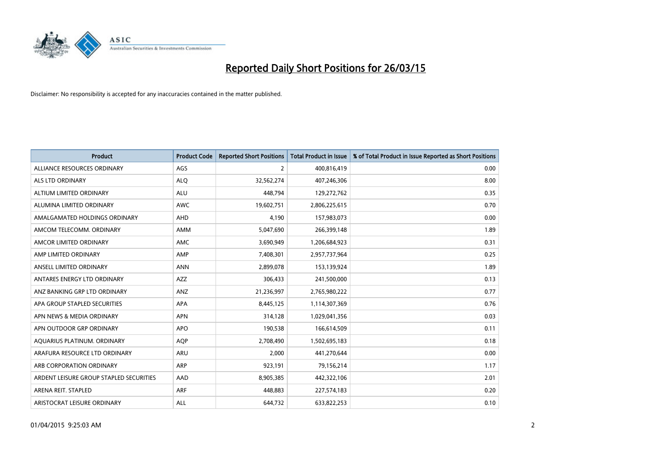

| <b>Product</b>                          | <b>Product Code</b> | <b>Reported Short Positions</b> | <b>Total Product in Issue</b> | % of Total Product in Issue Reported as Short Positions |
|-----------------------------------------|---------------------|---------------------------------|-------------------------------|---------------------------------------------------------|
| ALLIANCE RESOURCES ORDINARY             | AGS                 | 2                               | 400,816,419                   | 0.00                                                    |
| ALS LTD ORDINARY                        | <b>ALQ</b>          | 32,562,274                      | 407,246,306                   | 8.00                                                    |
| ALTIUM LIMITED ORDINARY                 | <b>ALU</b>          | 448,794                         | 129,272,762                   | 0.35                                                    |
| ALUMINA LIMITED ORDINARY                | <b>AWC</b>          | 19,602,751                      | 2,806,225,615                 | 0.70                                                    |
| AMALGAMATED HOLDINGS ORDINARY           | AHD                 | 4,190                           | 157,983,073                   | 0.00                                                    |
| AMCOM TELECOMM, ORDINARY                | AMM                 | 5,047,690                       | 266,399,148                   | 1.89                                                    |
| AMCOR LIMITED ORDINARY                  | AMC                 | 3,690,949                       | 1,206,684,923                 | 0.31                                                    |
| AMP LIMITED ORDINARY                    | AMP                 | 7,408,301                       | 2,957,737,964                 | 0.25                                                    |
| ANSELL LIMITED ORDINARY                 | <b>ANN</b>          | 2,899,078                       | 153,139,924                   | 1.89                                                    |
| ANTARES ENERGY LTD ORDINARY             | AZZ                 | 306,433                         | 241,500,000                   | 0.13                                                    |
| ANZ BANKING GRP LTD ORDINARY            | ANZ                 | 21,236,997                      | 2,765,980,222                 | 0.77                                                    |
| APA GROUP STAPLED SECURITIES            | APA                 | 8,445,125                       | 1,114,307,369                 | 0.76                                                    |
| APN NEWS & MEDIA ORDINARY               | <b>APN</b>          | 314,128                         | 1,029,041,356                 | 0.03                                                    |
| APN OUTDOOR GRP ORDINARY                | <b>APO</b>          | 190,538                         | 166,614,509                   | 0.11                                                    |
| AQUARIUS PLATINUM. ORDINARY             | AQP                 | 2,708,490                       | 1,502,695,183                 | 0.18                                                    |
| ARAFURA RESOURCE LTD ORDINARY           | ARU                 | 2,000                           | 441,270,644                   | 0.00                                                    |
| ARB CORPORATION ORDINARY                | ARP                 | 923,191                         | 79,156,214                    | 1.17                                                    |
| ARDENT LEISURE GROUP STAPLED SECURITIES | AAD                 | 8,905,385                       | 442,322,106                   | 2.01                                                    |
| ARENA REIT. STAPLED                     | <b>ARF</b>          | 448,883                         | 227,574,183                   | 0.20                                                    |
| ARISTOCRAT LEISURE ORDINARY             | ALL                 | 644,732                         | 633,822,253                   | 0.10                                                    |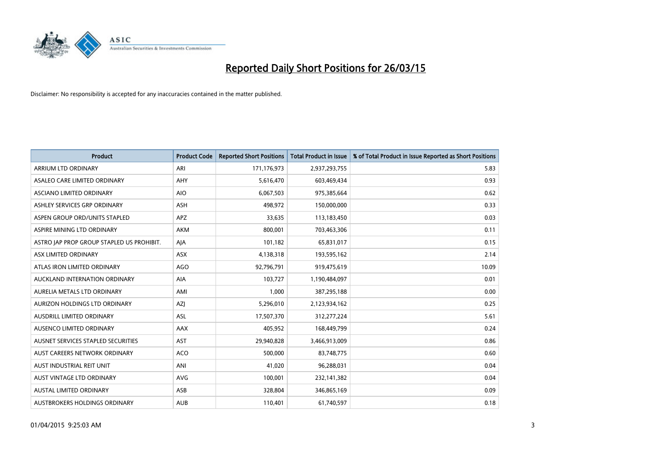

| <b>Product</b>                            | <b>Product Code</b> | <b>Reported Short Positions</b> | <b>Total Product in Issue</b> | % of Total Product in Issue Reported as Short Positions |
|-------------------------------------------|---------------------|---------------------------------|-------------------------------|---------------------------------------------------------|
| ARRIUM LTD ORDINARY                       | ARI                 | 171,176,973                     | 2,937,293,755                 | 5.83                                                    |
| ASALEO CARE LIMITED ORDINARY              | AHY                 | 5,616,470                       | 603,469,434                   | 0.93                                                    |
| ASCIANO LIMITED ORDINARY                  | <b>AIO</b>          | 6,067,503                       | 975,385,664                   | 0.62                                                    |
| ASHLEY SERVICES GRP ORDINARY              | <b>ASH</b>          | 498,972                         | 150,000,000                   | 0.33                                                    |
| ASPEN GROUP ORD/UNITS STAPLED             | APZ                 | 33,635                          | 113,183,450                   | 0.03                                                    |
| ASPIRE MINING LTD ORDINARY                | <b>AKM</b>          | 800,001                         | 703,463,306                   | 0.11                                                    |
| ASTRO JAP PROP GROUP STAPLED US PROHIBIT. | AJA                 | 101,182                         | 65,831,017                    | 0.15                                                    |
| ASX LIMITED ORDINARY                      | ASX                 | 4,138,318                       | 193,595,162                   | 2.14                                                    |
| ATLAS IRON LIMITED ORDINARY               | <b>AGO</b>          | 92,796,791                      | 919,475,619                   | 10.09                                                   |
| AUCKLAND INTERNATION ORDINARY             | <b>AIA</b>          | 103,727                         | 1,190,484,097                 | 0.01                                                    |
| AURELIA METALS LTD ORDINARY               | AMI                 | 1,000                           | 387,295,188                   | 0.00                                                    |
| AURIZON HOLDINGS LTD ORDINARY             | AZJ                 | 5,296,010                       | 2,123,934,162                 | 0.25                                                    |
| AUSDRILL LIMITED ORDINARY                 | ASL                 | 17,507,370                      | 312,277,224                   | 5.61                                                    |
| AUSENCO LIMITED ORDINARY                  | AAX                 | 405,952                         | 168,449,799                   | 0.24                                                    |
| AUSNET SERVICES STAPLED SECURITIES        | AST                 | 29,940,828                      | 3,466,913,009                 | 0.86                                                    |
| AUST CAREERS NETWORK ORDINARY             | <b>ACO</b>          | 500,000                         | 83,748,775                    | 0.60                                                    |
| AUST INDUSTRIAL REIT UNIT                 | ANI                 | 41,020                          | 96,288,031                    | 0.04                                                    |
| AUST VINTAGE LTD ORDINARY                 | <b>AVG</b>          | 100,001                         | 232,141,382                   | 0.04                                                    |
| <b>AUSTAL LIMITED ORDINARY</b>            | ASB                 | 328,804                         | 346,865,169                   | 0.09                                                    |
| AUSTBROKERS HOLDINGS ORDINARY             | <b>AUB</b>          | 110,401                         | 61,740,597                    | 0.18                                                    |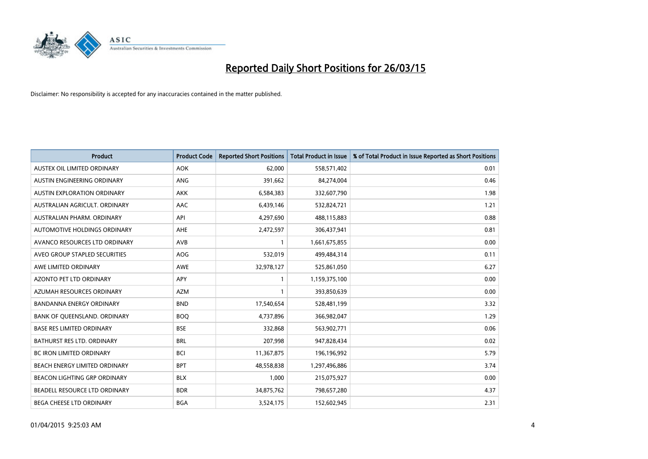

| <b>Product</b>                    | <b>Product Code</b> | <b>Reported Short Positions</b> | <b>Total Product in Issue</b> | % of Total Product in Issue Reported as Short Positions |
|-----------------------------------|---------------------|---------------------------------|-------------------------------|---------------------------------------------------------|
| AUSTEX OIL LIMITED ORDINARY       | <b>AOK</b>          | 62,000                          | 558,571,402                   | 0.01                                                    |
| AUSTIN ENGINEERING ORDINARY       | ANG                 | 391,662                         | 84,274,004                    | 0.46                                                    |
| AUSTIN EXPLORATION ORDINARY       | <b>AKK</b>          | 6,584,383                       | 332,607,790                   | 1.98                                                    |
| AUSTRALIAN AGRICULT. ORDINARY     | AAC                 | 6,439,146                       | 532,824,721                   | 1.21                                                    |
| AUSTRALIAN PHARM, ORDINARY        | API                 | 4,297,690                       | 488,115,883                   | 0.88                                                    |
| AUTOMOTIVE HOLDINGS ORDINARY      | AHE                 | 2,472,597                       | 306,437,941                   | 0.81                                                    |
| AVANCO RESOURCES LTD ORDINARY     | AVB                 | 1                               | 1,661,675,855                 | 0.00                                                    |
| AVEO GROUP STAPLED SECURITIES     | AOG                 | 532,019                         | 499,484,314                   | 0.11                                                    |
| AWE LIMITED ORDINARY              | <b>AWE</b>          | 32,978,127                      | 525,861,050                   | 6.27                                                    |
| <b>AZONTO PET LTD ORDINARY</b>    | APY                 | 1                               | 1,159,375,100                 | 0.00                                                    |
| AZUMAH RESOURCES ORDINARY         | <b>AZM</b>          | $\mathbf{1}$                    | 393,850,639                   | 0.00                                                    |
| <b>BANDANNA ENERGY ORDINARY</b>   | <b>BND</b>          | 17,540,654                      | 528,481,199                   | 3.32                                                    |
| BANK OF QUEENSLAND. ORDINARY      | <b>BOQ</b>          | 4,737,896                       | 366,982,047                   | 1.29                                                    |
| <b>BASE RES LIMITED ORDINARY</b>  | <b>BSE</b>          | 332,868                         | 563,902,771                   | 0.06                                                    |
| <b>BATHURST RES LTD. ORDINARY</b> | <b>BRL</b>          | 207,998                         | 947,828,434                   | 0.02                                                    |
| <b>BC IRON LIMITED ORDINARY</b>   | <b>BCI</b>          | 11,367,875                      | 196,196,992                   | 5.79                                                    |
| BEACH ENERGY LIMITED ORDINARY     | <b>BPT</b>          | 48,558,838                      | 1,297,496,886                 | 3.74                                                    |
| BEACON LIGHTING GRP ORDINARY      | <b>BLX</b>          | 1,000                           | 215,075,927                   | 0.00                                                    |
| BEADELL RESOURCE LTD ORDINARY     | <b>BDR</b>          | 34,875,762                      | 798,657,280                   | 4.37                                                    |
| BEGA CHEESE LTD ORDINARY          | <b>BGA</b>          | 3,524,175                       | 152,602,945                   | 2.31                                                    |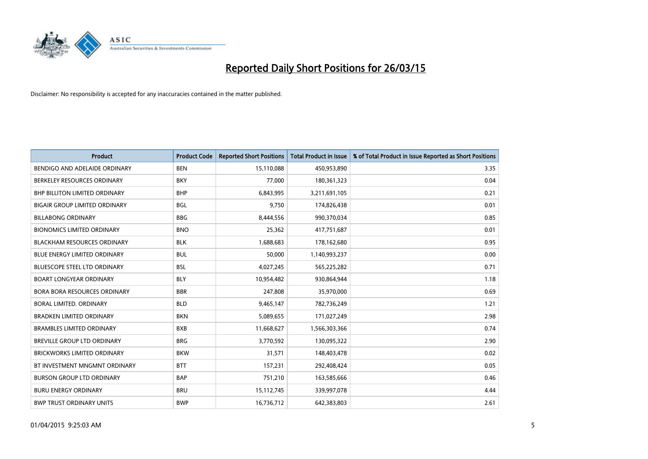

| <b>Product</b>                       | <b>Product Code</b> | <b>Reported Short Positions</b> | <b>Total Product in Issue</b> | % of Total Product in Issue Reported as Short Positions |
|--------------------------------------|---------------------|---------------------------------|-------------------------------|---------------------------------------------------------|
| BENDIGO AND ADELAIDE ORDINARY        | <b>BEN</b>          | 15,110,088                      | 450,953,890                   | 3.35                                                    |
| BERKELEY RESOURCES ORDINARY          | <b>BKY</b>          | 77,000                          | 180,361,323                   | 0.04                                                    |
| <b>BHP BILLITON LIMITED ORDINARY</b> | <b>BHP</b>          | 6,843,995                       | 3,211,691,105                 | 0.21                                                    |
| <b>BIGAIR GROUP LIMITED ORDINARY</b> | <b>BGL</b>          | 9,750                           | 174,826,438                   | 0.01                                                    |
| <b>BILLABONG ORDINARY</b>            | <b>BBG</b>          | 8,444,556                       | 990,370,034                   | 0.85                                                    |
| <b>BIONOMICS LIMITED ORDINARY</b>    | <b>BNO</b>          | 25,362                          | 417,751,687                   | 0.01                                                    |
| <b>BLACKHAM RESOURCES ORDINARY</b>   | <b>BLK</b>          | 1,688,683                       | 178,162,680                   | 0.95                                                    |
| <b>BLUE ENERGY LIMITED ORDINARY</b>  | <b>BUL</b>          | 50,000                          | 1,140,993,237                 | 0.00                                                    |
| <b>BLUESCOPE STEEL LTD ORDINARY</b>  | <b>BSL</b>          | 4,027,245                       | 565,225,282                   | 0.71                                                    |
| <b>BOART LONGYEAR ORDINARY</b>       | <b>BLY</b>          | 10,954,482                      | 930,864,944                   | 1.18                                                    |
| <b>BORA BORA RESOURCES ORDINARY</b>  | <b>BBR</b>          | 247,808                         | 35,970,000                    | 0.69                                                    |
| <b>BORAL LIMITED, ORDINARY</b>       | <b>BLD</b>          | 9,465,147                       | 782,736,249                   | 1.21                                                    |
| <b>BRADKEN LIMITED ORDINARY</b>      | <b>BKN</b>          | 5,089,655                       | 171,027,249                   | 2.98                                                    |
| <b>BRAMBLES LIMITED ORDINARY</b>     | <b>BXB</b>          | 11,668,627                      | 1,566,303,366                 | 0.74                                                    |
| BREVILLE GROUP LTD ORDINARY          | <b>BRG</b>          | 3,770,592                       | 130,095,322                   | 2.90                                                    |
| <b>BRICKWORKS LIMITED ORDINARY</b>   | <b>BKW</b>          | 31,571                          | 148,403,478                   | 0.02                                                    |
| BT INVESTMENT MNGMNT ORDINARY        | <b>BTT</b>          | 157,231                         | 292,408,424                   | 0.05                                                    |
| <b>BURSON GROUP LTD ORDINARY</b>     | <b>BAP</b>          | 751,210                         | 163,585,666                   | 0.46                                                    |
| <b>BURU ENERGY ORDINARY</b>          | <b>BRU</b>          | 15, 112, 745                    | 339,997,078                   | 4.44                                                    |
| <b>BWP TRUST ORDINARY UNITS</b>      | <b>BWP</b>          | 16,736,712                      | 642,383,803                   | 2.61                                                    |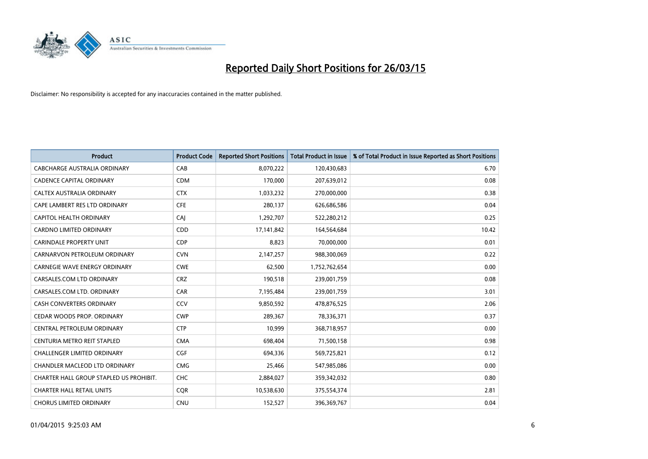

| <b>Product</b>                          | <b>Product Code</b> | <b>Reported Short Positions</b> | <b>Total Product in Issue</b> | % of Total Product in Issue Reported as Short Positions |
|-----------------------------------------|---------------------|---------------------------------|-------------------------------|---------------------------------------------------------|
| <b>CABCHARGE AUSTRALIA ORDINARY</b>     | CAB                 | 8,070,222                       | 120,430,683                   | 6.70                                                    |
| <b>CADENCE CAPITAL ORDINARY</b>         | <b>CDM</b>          | 170,000                         | 207,639,012                   | 0.08                                                    |
| CALTEX AUSTRALIA ORDINARY               | <b>CTX</b>          | 1,033,232                       | 270,000,000                   | 0.38                                                    |
| CAPE LAMBERT RES LTD ORDINARY           | <b>CFE</b>          | 280,137                         | 626,686,586                   | 0.04                                                    |
| <b>CAPITOL HEALTH ORDINARY</b>          | CAI                 | 1,292,707                       | 522,280,212                   | 0.25                                                    |
| <b>CARDNO LIMITED ORDINARY</b>          | CDD                 | 17,141,842                      | 164,564,684                   | 10.42                                                   |
| <b>CARINDALE PROPERTY UNIT</b>          | <b>CDP</b>          | 8,823                           | 70,000,000                    | 0.01                                                    |
| CARNARVON PETROLEUM ORDINARY            | <b>CVN</b>          | 2,147,257                       | 988,300,069                   | 0.22                                                    |
| <b>CARNEGIE WAVE ENERGY ORDINARY</b>    | <b>CWE</b>          | 62,500                          | 1,752,762,654                 | 0.00                                                    |
| CARSALES.COM LTD ORDINARY               | <b>CRZ</b>          | 190,518                         | 239,001,759                   | 0.08                                                    |
| CARSALES.COM LTD. ORDINARY              | CAR                 | 7,195,484                       | 239,001,759                   | 3.01                                                    |
| <b>CASH CONVERTERS ORDINARY</b>         | CCV                 | 9,850,592                       | 478,876,525                   | 2.06                                                    |
| CEDAR WOODS PROP. ORDINARY              | <b>CWP</b>          | 289,367                         | 78,336,371                    | 0.37                                                    |
| CENTRAL PETROLEUM ORDINARY              | <b>CTP</b>          | 10,999                          | 368,718,957                   | 0.00                                                    |
| CENTURIA METRO REIT STAPLED             | <b>CMA</b>          | 698,404                         | 71,500,158                    | 0.98                                                    |
| CHALLENGER LIMITED ORDINARY             | <b>CGF</b>          | 694,336                         | 569,725,821                   | 0.12                                                    |
| CHANDLER MACLEOD LTD ORDINARY           | <b>CMG</b>          | 25,466                          | 547,985,086                   | 0.00                                                    |
| CHARTER HALL GROUP STAPLED US PROHIBIT. | <b>CHC</b>          | 2,884,027                       | 359,342,032                   | 0.80                                                    |
| <b>CHARTER HALL RETAIL UNITS</b>        | <b>COR</b>          | 10,538,630                      | 375,554,374                   | 2.81                                                    |
| <b>CHORUS LIMITED ORDINARY</b>          | <b>CNU</b>          | 152,527                         | 396,369,767                   | 0.04                                                    |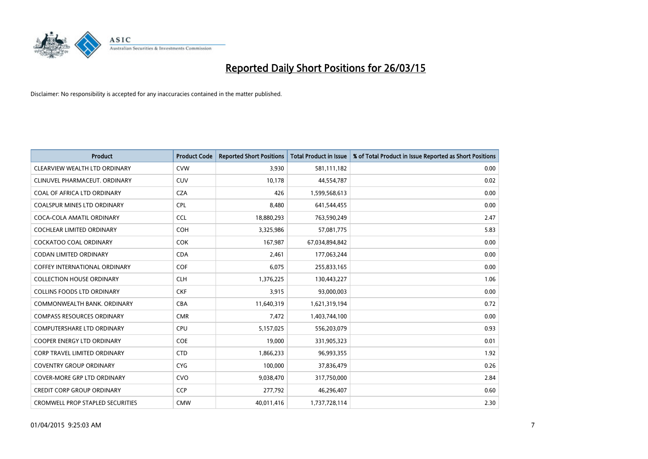

| <b>Product</b>                          | <b>Product Code</b> | <b>Reported Short Positions</b> | <b>Total Product in Issue</b> | % of Total Product in Issue Reported as Short Positions |
|-----------------------------------------|---------------------|---------------------------------|-------------------------------|---------------------------------------------------------|
| CLEARVIEW WEALTH LTD ORDINARY           | <b>CVW</b>          | 3,930                           | 581,111,182                   | 0.00                                                    |
| CLINUVEL PHARMACEUT. ORDINARY           | <b>CUV</b>          | 10,178                          | 44,554,787                    | 0.02                                                    |
| COAL OF AFRICA LTD ORDINARY             | <b>CZA</b>          | 426                             | 1,599,568,613                 | 0.00                                                    |
| COALSPUR MINES LTD ORDINARY             | <b>CPL</b>          | 8,480                           | 641,544,455                   | 0.00                                                    |
| COCA-COLA AMATIL ORDINARY               | <b>CCL</b>          | 18,880,293                      | 763,590,249                   | 2.47                                                    |
| <b>COCHLEAR LIMITED ORDINARY</b>        | <b>COH</b>          | 3,325,986                       | 57,081,775                    | 5.83                                                    |
| <b>COCKATOO COAL ORDINARY</b>           | <b>COK</b>          | 167,987                         | 67,034,894,842                | 0.00                                                    |
| <b>CODAN LIMITED ORDINARY</b>           | <b>CDA</b>          | 2,461                           | 177,063,244                   | 0.00                                                    |
| <b>COFFEY INTERNATIONAL ORDINARY</b>    | <b>COF</b>          | 6,075                           | 255,833,165                   | 0.00                                                    |
| <b>COLLECTION HOUSE ORDINARY</b>        | <b>CLH</b>          | 1,376,225                       | 130,443,227                   | 1.06                                                    |
| <b>COLLINS FOODS LTD ORDINARY</b>       | <b>CKF</b>          | 3,915                           | 93,000,003                    | 0.00                                                    |
| COMMONWEALTH BANK, ORDINARY             | <b>CBA</b>          | 11,640,319                      | 1,621,319,194                 | 0.72                                                    |
| <b>COMPASS RESOURCES ORDINARY</b>       | <b>CMR</b>          | 7,472                           | 1,403,744,100                 | 0.00                                                    |
| <b>COMPUTERSHARE LTD ORDINARY</b>       | <b>CPU</b>          | 5,157,025                       | 556,203,079                   | 0.93                                                    |
| <b>COOPER ENERGY LTD ORDINARY</b>       | <b>COE</b>          | 19,000                          | 331,905,323                   | 0.01                                                    |
| <b>CORP TRAVEL LIMITED ORDINARY</b>     | <b>CTD</b>          | 1,866,233                       | 96,993,355                    | 1.92                                                    |
| <b>COVENTRY GROUP ORDINARY</b>          | <b>CYG</b>          | 100,000                         | 37,836,479                    | 0.26                                                    |
| <b>COVER-MORE GRP LTD ORDINARY</b>      | <b>CVO</b>          | 9,038,470                       | 317,750,000                   | 2.84                                                    |
| <b>CREDIT CORP GROUP ORDINARY</b>       | <b>CCP</b>          | 277,792                         | 46,296,407                    | 0.60                                                    |
| <b>CROMWELL PROP STAPLED SECURITIES</b> | <b>CMW</b>          | 40,011,416                      | 1,737,728,114                 | 2.30                                                    |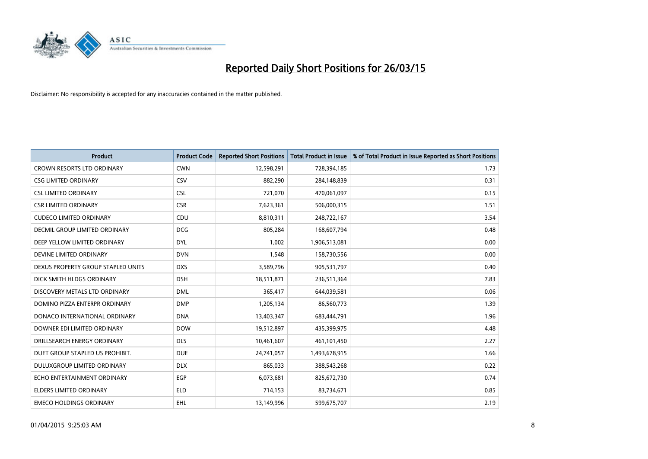

| <b>Product</b>                       | <b>Product Code</b> | <b>Reported Short Positions</b> | <b>Total Product in Issue</b> | % of Total Product in Issue Reported as Short Positions |
|--------------------------------------|---------------------|---------------------------------|-------------------------------|---------------------------------------------------------|
| <b>CROWN RESORTS LTD ORDINARY</b>    | <b>CWN</b>          | 12,598,291                      | 728,394,185                   | 1.73                                                    |
| <b>CSG LIMITED ORDINARY</b>          | CSV                 | 882,290                         | 284,148,839                   | 0.31                                                    |
| <b>CSL LIMITED ORDINARY</b>          | <b>CSL</b>          | 721,070                         | 470,061,097                   | 0.15                                                    |
| <b>CSR LIMITED ORDINARY</b>          | <b>CSR</b>          | 7,623,361                       | 506,000,315                   | 1.51                                                    |
| <b>CUDECO LIMITED ORDINARY</b>       | CDU                 | 8,810,311                       | 248,722,167                   | 3.54                                                    |
| <b>DECMIL GROUP LIMITED ORDINARY</b> | <b>DCG</b>          | 805,284                         | 168,607,794                   | 0.48                                                    |
| DEEP YELLOW LIMITED ORDINARY         | <b>DYL</b>          | 1,002                           | 1,906,513,081                 | 0.00                                                    |
| DEVINE LIMITED ORDINARY              | <b>DVN</b>          | 1,548                           | 158,730,556                   | 0.00                                                    |
| DEXUS PROPERTY GROUP STAPLED UNITS   | <b>DXS</b>          | 3,589,796                       | 905,531,797                   | 0.40                                                    |
| DICK SMITH HLDGS ORDINARY            | <b>DSH</b>          | 18,511,871                      | 236,511,364                   | 7.83                                                    |
| DISCOVERY METALS LTD ORDINARY        | <b>DML</b>          | 365,417                         | 644,039,581                   | 0.06                                                    |
| DOMINO PIZZA ENTERPR ORDINARY        | <b>DMP</b>          | 1,205,134                       | 86,560,773                    | 1.39                                                    |
| DONACO INTERNATIONAL ORDINARY        | <b>DNA</b>          | 13,403,347                      | 683,444,791                   | 1.96                                                    |
| DOWNER EDI LIMITED ORDINARY          | <b>DOW</b>          | 19,512,897                      | 435,399,975                   | 4.48                                                    |
| DRILLSEARCH ENERGY ORDINARY          | <b>DLS</b>          | 10,461,607                      | 461,101,450                   | 2.27                                                    |
| DUET GROUP STAPLED US PROHIBIT.      | <b>DUE</b>          | 24,741,057                      | 1,493,678,915                 | 1.66                                                    |
| DULUXGROUP LIMITED ORDINARY          | <b>DLX</b>          | 865,033                         | 388,543,268                   | 0.22                                                    |
| ECHO ENTERTAINMENT ORDINARY          | <b>EGP</b>          | 6,073,681                       | 825,672,730                   | 0.74                                                    |
| <b>ELDERS LIMITED ORDINARY</b>       | <b>ELD</b>          | 714,153                         | 83,734,671                    | 0.85                                                    |
| <b>EMECO HOLDINGS ORDINARY</b>       | EHL                 | 13,149,996                      | 599,675,707                   | 2.19                                                    |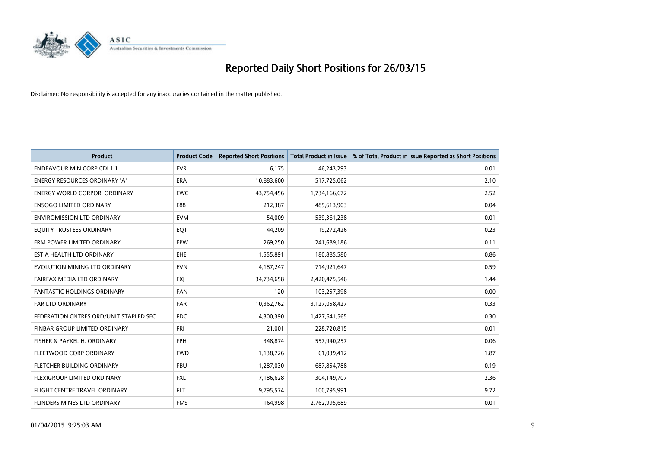

| <b>Product</b>                         | <b>Product Code</b> | <b>Reported Short Positions</b> | <b>Total Product in Issue</b> | % of Total Product in Issue Reported as Short Positions |
|----------------------------------------|---------------------|---------------------------------|-------------------------------|---------------------------------------------------------|
| <b>ENDEAVOUR MIN CORP CDI 1:1</b>      | <b>EVR</b>          | 6,175                           | 46,243,293                    | 0.01                                                    |
| ENERGY RESOURCES ORDINARY 'A'          | ERA                 | 10,883,600                      | 517,725,062                   | 2.10                                                    |
| <b>ENERGY WORLD CORPOR, ORDINARY</b>   | <b>EWC</b>          | 43,754,456                      | 1,734,166,672                 | 2.52                                                    |
| <b>ENSOGO LIMITED ORDINARY</b>         | E88                 | 212,387                         | 485,613,903                   | 0.04                                                    |
| <b>ENVIROMISSION LTD ORDINARY</b>      | <b>EVM</b>          | 54,009                          | 539,361,238                   | 0.01                                                    |
| EQUITY TRUSTEES ORDINARY               | EQT                 | 44,209                          | 19,272,426                    | 0.23                                                    |
| ERM POWER LIMITED ORDINARY             | EPW                 | 269,250                         | 241,689,186                   | 0.11                                                    |
| ESTIA HEALTH LTD ORDINARY              | <b>EHE</b>          | 1,555,891                       | 180,885,580                   | 0.86                                                    |
| EVOLUTION MINING LTD ORDINARY          | <b>EVN</b>          | 4,187,247                       | 714,921,647                   | 0.59                                                    |
| <b>FAIRFAX MEDIA LTD ORDINARY</b>      | <b>FXJ</b>          | 34,734,658                      | 2,420,475,546                 | 1.44                                                    |
| <b>FANTASTIC HOLDINGS ORDINARY</b>     | <b>FAN</b>          | 120                             | 103,257,398                   | 0.00                                                    |
| <b>FAR LTD ORDINARY</b>                | <b>FAR</b>          | 10,362,762                      | 3,127,058,427                 | 0.33                                                    |
| FEDERATION CNTRES ORD/UNIT STAPLED SEC | FDC                 | 4,300,390                       | 1,427,641,565                 | 0.30                                                    |
| FINBAR GROUP LIMITED ORDINARY          | <b>FRI</b>          | 21,001                          | 228,720,815                   | 0.01                                                    |
| FISHER & PAYKEL H. ORDINARY            | <b>FPH</b>          | 348,874                         | 557,940,257                   | 0.06                                                    |
| FLEETWOOD CORP ORDINARY                | <b>FWD</b>          | 1,138,726                       | 61,039,412                    | 1.87                                                    |
| FLETCHER BUILDING ORDINARY             | <b>FBU</b>          | 1,287,030                       | 687,854,788                   | 0.19                                                    |
| FLEXIGROUP LIMITED ORDINARY            | <b>FXL</b>          | 7,186,628                       | 304,149,707                   | 2.36                                                    |
| FLIGHT CENTRE TRAVEL ORDINARY          | <b>FLT</b>          | 9,795,574                       | 100,795,991                   | 9.72                                                    |
| <b>FLINDERS MINES LTD ORDINARY</b>     | <b>FMS</b>          | 164,998                         | 2,762,995,689                 | 0.01                                                    |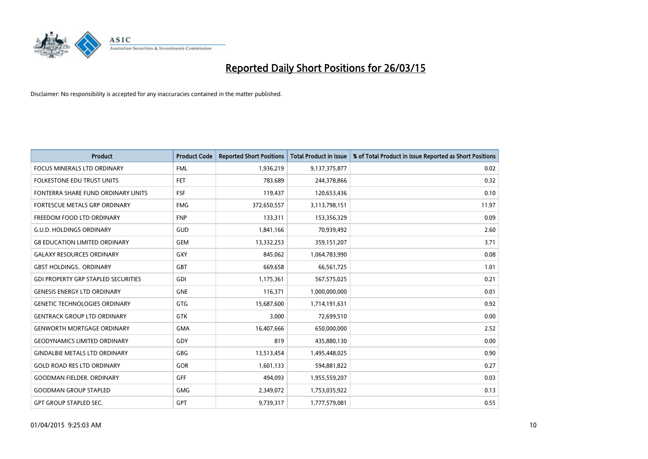

| <b>Product</b>                             | <b>Product Code</b> | <b>Reported Short Positions</b> | <b>Total Product in Issue</b> | % of Total Product in Issue Reported as Short Positions |
|--------------------------------------------|---------------------|---------------------------------|-------------------------------|---------------------------------------------------------|
| <b>FOCUS MINERALS LTD ORDINARY</b>         | <b>FML</b>          | 1,936,219                       | 9,137,375,877                 | 0.02                                                    |
| FOLKESTONE EDU TRUST UNITS                 | <b>FET</b>          | 783,689                         | 244,378,866                   | 0.32                                                    |
| FONTERRA SHARE FUND ORDINARY UNITS         | <b>FSF</b>          | 119,437                         | 120,653,436                   | 0.10                                                    |
| FORTESCUE METALS GRP ORDINARY              | <b>FMG</b>          | 372,650,557                     | 3,113,798,151                 | 11.97                                                   |
| FREEDOM FOOD LTD ORDINARY                  | <b>FNP</b>          | 133,311                         | 153,356,329                   | 0.09                                                    |
| <b>G.U.D. HOLDINGS ORDINARY</b>            | GUD                 | 1,841,166                       | 70,939,492                    | 2.60                                                    |
| <b>G8 EDUCATION LIMITED ORDINARY</b>       | <b>GEM</b>          | 13,332,253                      | 359,151,207                   | 3.71                                                    |
| <b>GALAXY RESOURCES ORDINARY</b>           | GXY                 | 845,062                         | 1,064,783,990                 | 0.08                                                    |
| <b>GBST HOLDINGS., ORDINARY</b>            | <b>GBT</b>          | 669,658                         | 66,561,725                    | 1.01                                                    |
| <b>GDI PROPERTY GRP STAPLED SECURITIES</b> | GDI                 | 1,175,361                       | 567,575,025                   | 0.21                                                    |
| <b>GENESIS ENERGY LTD ORDINARY</b>         | <b>GNE</b>          | 116,371                         | 1,000,000,000                 | 0.01                                                    |
| <b>GENETIC TECHNOLOGIES ORDINARY</b>       | <b>GTG</b>          | 15,687,600                      | 1,714,191,631                 | 0.92                                                    |
| <b>GENTRACK GROUP LTD ORDINARY</b>         | <b>GTK</b>          | 3,000                           | 72,699,510                    | 0.00                                                    |
| <b>GENWORTH MORTGAGE ORDINARY</b>          | <b>GMA</b>          | 16,407,666                      | 650,000,000                   | 2.52                                                    |
| <b>GEODYNAMICS LIMITED ORDINARY</b>        | GDY                 | 819                             | 435,880,130                   | 0.00                                                    |
| <b>GINDALBIE METALS LTD ORDINARY</b>       | GBG                 | 13,513,454                      | 1,495,448,025                 | 0.90                                                    |
| <b>GOLD ROAD RES LTD ORDINARY</b>          | GOR                 | 1,601,133                       | 594,881,822                   | 0.27                                                    |
| <b>GOODMAN FIELDER, ORDINARY</b>           | GFF                 | 494,093                         | 1,955,559,207                 | 0.03                                                    |
| <b>GOODMAN GROUP STAPLED</b>               | <b>GMG</b>          | 2,349,072                       | 1,753,035,922                 | 0.13                                                    |
| <b>GPT GROUP STAPLED SEC.</b>              | GPT                 | 9,739,317                       | 1,777,579,081                 | 0.55                                                    |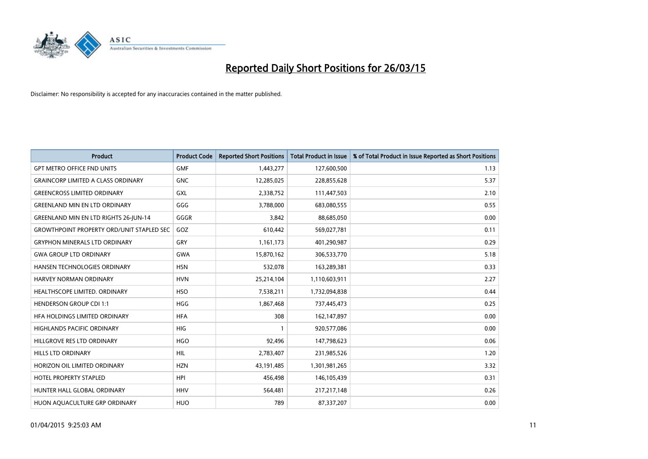

| <b>Product</b>                                   | <b>Product Code</b> | <b>Reported Short Positions</b> | <b>Total Product in Issue</b> | % of Total Product in Issue Reported as Short Positions |
|--------------------------------------------------|---------------------|---------------------------------|-------------------------------|---------------------------------------------------------|
| <b>GPT METRO OFFICE FND UNITS</b>                | <b>GMF</b>          | 1,443,277                       | 127,600,500                   | 1.13                                                    |
| <b>GRAINCORP LIMITED A CLASS ORDINARY</b>        | <b>GNC</b>          | 12,285,025                      | 228,855,628                   | 5.37                                                    |
| <b>GREENCROSS LIMITED ORDINARY</b>               | GXL                 | 2,338,752                       | 111,447,503                   | 2.10                                                    |
| <b>GREENLAND MIN EN LTD ORDINARY</b>             | GGG                 | 3,788,000                       | 683,080,555                   | 0.55                                                    |
| <b>GREENLAND MIN EN LTD RIGHTS 26-JUN-14</b>     | GGGR                | 3,842                           | 88,685,050                    | 0.00                                                    |
| <b>GROWTHPOINT PROPERTY ORD/UNIT STAPLED SEC</b> | GOZ                 | 610,442                         | 569,027,781                   | 0.11                                                    |
| <b>GRYPHON MINERALS LTD ORDINARY</b>             | <b>GRY</b>          | 1,161,173                       | 401,290,987                   | 0.29                                                    |
| <b>GWA GROUP LTD ORDINARY</b>                    | GWA                 | 15,870,162                      | 306,533,770                   | 5.18                                                    |
| HANSEN TECHNOLOGIES ORDINARY                     | <b>HSN</b>          | 532,078                         | 163,289,381                   | 0.33                                                    |
| HARVEY NORMAN ORDINARY                           | <b>HVN</b>          | 25,214,104                      | 1,110,603,911                 | 2.27                                                    |
| HEALTHSCOPE LIMITED. ORDINARY                    | <b>HSO</b>          | 7,538,211                       | 1,732,094,838                 | 0.44                                                    |
| <b>HENDERSON GROUP CDI 1:1</b>                   | <b>HGG</b>          | 1,867,468                       | 737,445,473                   | 0.25                                                    |
| HFA HOLDINGS LIMITED ORDINARY                    | <b>HFA</b>          | 308                             | 162,147,897                   | 0.00                                                    |
| HIGHLANDS PACIFIC ORDINARY                       | <b>HIG</b>          | $\mathbf{1}$                    | 920,577,086                   | 0.00                                                    |
| HILLGROVE RES LTD ORDINARY                       | <b>HGO</b>          | 92,496                          | 147,798,623                   | 0.06                                                    |
| <b>HILLS LTD ORDINARY</b>                        | <b>HIL</b>          | 2,783,407                       | 231,985,526                   | 1.20                                                    |
| HORIZON OIL LIMITED ORDINARY                     | <b>HZN</b>          | 43,191,485                      | 1,301,981,265                 | 3.32                                                    |
| HOTEL PROPERTY STAPLED                           | HPI                 | 456,498                         | 146, 105, 439                 | 0.31                                                    |
| HUNTER HALL GLOBAL ORDINARY                      | <b>HHV</b>          | 564,481                         | 217,217,148                   | 0.26                                                    |
| HUON AQUACULTURE GRP ORDINARY                    | <b>HUO</b>          | 789                             | 87,337,207                    | 0.00                                                    |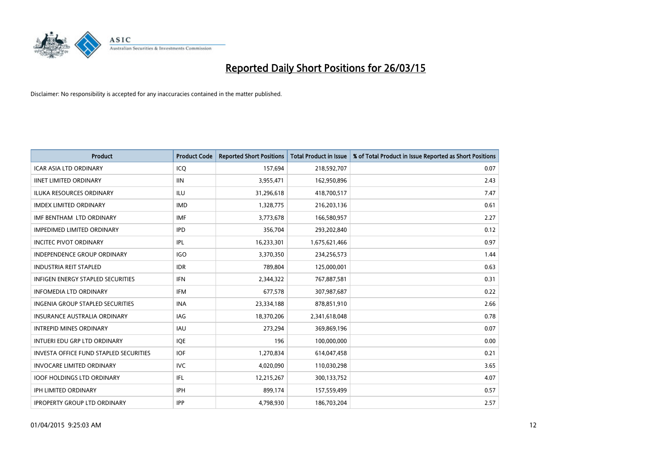

| <b>Product</b>                                | <b>Product Code</b> | <b>Reported Short Positions</b> | <b>Total Product in Issue</b> | % of Total Product in Issue Reported as Short Positions |
|-----------------------------------------------|---------------------|---------------------------------|-------------------------------|---------------------------------------------------------|
| <b>ICAR ASIA LTD ORDINARY</b>                 | ICQ                 | 157,694                         | 218,592,707                   | 0.07                                                    |
| <b>IINET LIMITED ORDINARY</b>                 | <b>IIN</b>          | 3,955,471                       | 162,950,896                   | 2.43                                                    |
| <b>ILUKA RESOURCES ORDINARY</b>               | ILU                 | 31,296,618                      | 418,700,517                   | 7.47                                                    |
| <b>IMDEX LIMITED ORDINARY</b>                 | <b>IMD</b>          | 1,328,775                       | 216,203,136                   | 0.61                                                    |
| IMF BENTHAM LTD ORDINARY                      | <b>IMF</b>          | 3,773,678                       | 166,580,957                   | 2.27                                                    |
| <b>IMPEDIMED LIMITED ORDINARY</b>             | <b>IPD</b>          | 356,704                         | 293,202,840                   | 0.12                                                    |
| <b>INCITEC PIVOT ORDINARY</b>                 | IPL                 | 16,233,301                      | 1,675,621,466                 | 0.97                                                    |
| <b>INDEPENDENCE GROUP ORDINARY</b>            | <b>IGO</b>          | 3,370,350                       | 234,256,573                   | 1.44                                                    |
| <b>INDUSTRIA REIT STAPLED</b>                 | <b>IDR</b>          | 789,804                         | 125,000,001                   | 0.63                                                    |
| <b>INFIGEN ENERGY STAPLED SECURITIES</b>      | <b>IFN</b>          | 2,344,322                       | 767,887,581                   | 0.31                                                    |
| <b>INFOMEDIA LTD ORDINARY</b>                 | IFM                 | 677,578                         | 307,987,687                   | 0.22                                                    |
| <b>INGENIA GROUP STAPLED SECURITIES</b>       | <b>INA</b>          | 23,334,188                      | 878,851,910                   | 2.66                                                    |
| <b>INSURANCE AUSTRALIA ORDINARY</b>           | <b>IAG</b>          | 18,370,206                      | 2,341,618,048                 | 0.78                                                    |
| <b>INTREPID MINES ORDINARY</b>                | <b>IAU</b>          | 273,294                         | 369,869,196                   | 0.07                                                    |
| INTUERI EDU GRP LTD ORDINARY                  | <b>IOE</b>          | 196                             | 100,000,000                   | 0.00                                                    |
| <b>INVESTA OFFICE FUND STAPLED SECURITIES</b> | <b>IOF</b>          | 1,270,834                       | 614,047,458                   | 0.21                                                    |
| <b>INVOCARE LIMITED ORDINARY</b>              | <b>IVC</b>          | 4,020,090                       | 110,030,298                   | 3.65                                                    |
| <b>IOOF HOLDINGS LTD ORDINARY</b>             | IFL                 | 12,215,267                      | 300,133,752                   | 4.07                                                    |
| <b>IPH LIMITED ORDINARY</b>                   | <b>IPH</b>          | 899,174                         | 157,559,499                   | 0.57                                                    |
| <b>IPROPERTY GROUP LTD ORDINARY</b>           | <b>IPP</b>          | 4,798,930                       | 186,703,204                   | 2.57                                                    |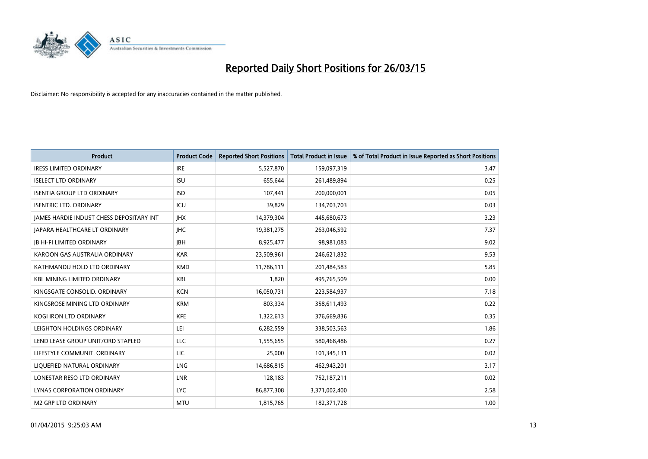

| <b>Product</b>                           | <b>Product Code</b> | <b>Reported Short Positions</b> | <b>Total Product in Issue</b> | % of Total Product in Issue Reported as Short Positions |
|------------------------------------------|---------------------|---------------------------------|-------------------------------|---------------------------------------------------------|
| <b>IRESS LIMITED ORDINARY</b>            | <b>IRE</b>          | 5,527,870                       | 159,097,319                   | 3.47                                                    |
| <b>ISELECT LTD ORDINARY</b>              | <b>ISU</b>          | 655,644                         | 261,489,894                   | 0.25                                                    |
| <b>ISENTIA GROUP LTD ORDINARY</b>        | <b>ISD</b>          | 107,441                         | 200,000,001                   | 0.05                                                    |
| <b>ISENTRIC LTD. ORDINARY</b>            | ICU                 | 39,829                          | 134,703,703                   | 0.03                                                    |
| JAMES HARDIE INDUST CHESS DEPOSITARY INT | <b>IHX</b>          | 14,379,304                      | 445,680,673                   | 3.23                                                    |
| <b>JAPARA HEALTHCARE LT ORDINARY</b>     | <b>IHC</b>          | 19,381,275                      | 263,046,592                   | 7.37                                                    |
| <b>JB HI-FI LIMITED ORDINARY</b>         | <b>JBH</b>          | 8,925,477                       | 98,981,083                    | 9.02                                                    |
| KAROON GAS AUSTRALIA ORDINARY            | <b>KAR</b>          | 23,509,961                      | 246,621,832                   | 9.53                                                    |
| KATHMANDU HOLD LTD ORDINARY              | <b>KMD</b>          | 11,786,111                      | 201,484,583                   | 5.85                                                    |
| <b>KBL MINING LIMITED ORDINARY</b>       | <b>KBL</b>          | 1,820                           | 495,765,509                   | 0.00                                                    |
| KINGSGATE CONSOLID. ORDINARY             | <b>KCN</b>          | 16,050,731                      | 223,584,937                   | 7.18                                                    |
| KINGSROSE MINING LTD ORDINARY            | <b>KRM</b>          | 803,334                         | 358,611,493                   | 0.22                                                    |
| KOGI IRON LTD ORDINARY                   | KFE                 | 1,322,613                       | 376,669,836                   | 0.35                                                    |
| LEIGHTON HOLDINGS ORDINARY               | LEI                 | 6,282,559                       | 338,503,563                   | 1.86                                                    |
| LEND LEASE GROUP UNIT/ORD STAPLED        | <b>LLC</b>          | 1,555,655                       | 580,468,486                   | 0.27                                                    |
| LIFESTYLE COMMUNIT. ORDINARY             | LIC                 | 25,000                          | 101,345,131                   | 0.02                                                    |
| LIQUEFIED NATURAL ORDINARY               | LNG                 | 14,686,815                      | 462,943,201                   | 3.17                                                    |
| LONESTAR RESO LTD ORDINARY               | <b>LNR</b>          | 128,183                         | 752,187,211                   | 0.02                                                    |
| LYNAS CORPORATION ORDINARY               | <b>LYC</b>          | 86,877,308                      | 3,371,002,400                 | 2.58                                                    |
| M2 GRP LTD ORDINARY                      | <b>MTU</b>          | 1,815,765                       | 182,371,728                   | 1.00                                                    |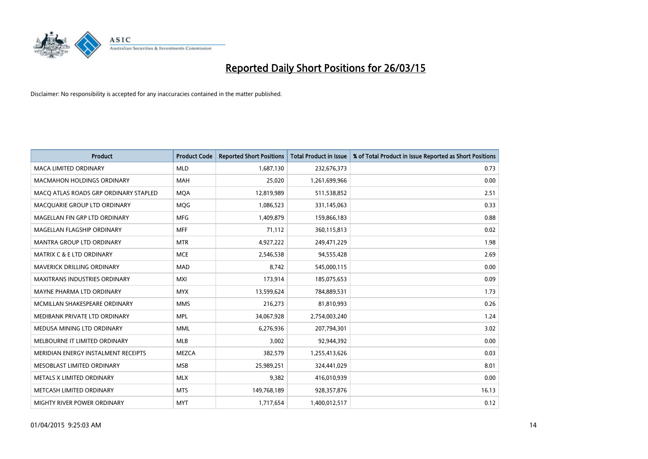

| <b>Product</b>                        | <b>Product Code</b> | <b>Reported Short Positions</b> | <b>Total Product in Issue</b> | % of Total Product in Issue Reported as Short Positions |
|---------------------------------------|---------------------|---------------------------------|-------------------------------|---------------------------------------------------------|
| <b>MACA LIMITED ORDINARY</b>          | <b>MLD</b>          | 1,687,130                       | 232,676,373                   | 0.73                                                    |
| <b>MACMAHON HOLDINGS ORDINARY</b>     | MAH                 | 25,020                          | 1,261,699,966                 | 0.00                                                    |
| MACO ATLAS ROADS GRP ORDINARY STAPLED | <b>MQA</b>          | 12,819,989                      | 511,538,852                   | 2.51                                                    |
| MACQUARIE GROUP LTD ORDINARY          | MQG                 | 1,086,523                       | 331,145,063                   | 0.33                                                    |
| MAGELLAN FIN GRP LTD ORDINARY         | <b>MFG</b>          | 1,409,879                       | 159,866,183                   | 0.88                                                    |
| MAGELLAN FLAGSHIP ORDINARY            | <b>MFF</b>          | 71,112                          | 360,115,813                   | 0.02                                                    |
| <b>MANTRA GROUP LTD ORDINARY</b>      | <b>MTR</b>          | 4,927,222                       | 249,471,229                   | 1.98                                                    |
| <b>MATRIX C &amp; E LTD ORDINARY</b>  | <b>MCE</b>          | 2,546,538                       | 94,555,428                    | 2.69                                                    |
| <b>MAVERICK DRILLING ORDINARY</b>     | <b>MAD</b>          | 8,742                           | 545,000,115                   | 0.00                                                    |
| <b>MAXITRANS INDUSTRIES ORDINARY</b>  | <b>MXI</b>          | 173,914                         | 185,075,653                   | 0.09                                                    |
| MAYNE PHARMA LTD ORDINARY             | <b>MYX</b>          | 13,599,624                      | 784,889,531                   | 1.73                                                    |
| MCMILLAN SHAKESPEARE ORDINARY         | <b>MMS</b>          | 216,273                         | 81,810,993                    | 0.26                                                    |
| MEDIBANK PRIVATE LTD ORDINARY         | <b>MPL</b>          | 34,067,928                      | 2,754,003,240                 | 1.24                                                    |
| MEDUSA MINING LTD ORDINARY            | <b>MML</b>          | 6,276,936                       | 207,794,301                   | 3.02                                                    |
| MELBOURNE IT LIMITED ORDINARY         | <b>MLB</b>          | 3,002                           | 92,944,392                    | 0.00                                                    |
| MERIDIAN ENERGY INSTALMENT RECEIPTS   | MEZCA               | 382,579                         | 1,255,413,626                 | 0.03                                                    |
| MESOBLAST LIMITED ORDINARY            | <b>MSB</b>          | 25,989,251                      | 324,441,029                   | 8.01                                                    |
| METALS X LIMITED ORDINARY             | <b>MLX</b>          | 9,382                           | 416,010,939                   | 0.00                                                    |
| METCASH LIMITED ORDINARY              | <b>MTS</b>          | 149,768,189                     | 928,357,876                   | 16.13                                                   |
| <b>MIGHTY RIVER POWER ORDINARY</b>    | <b>MYT</b>          | 1,717,654                       | 1,400,012,517                 | 0.12                                                    |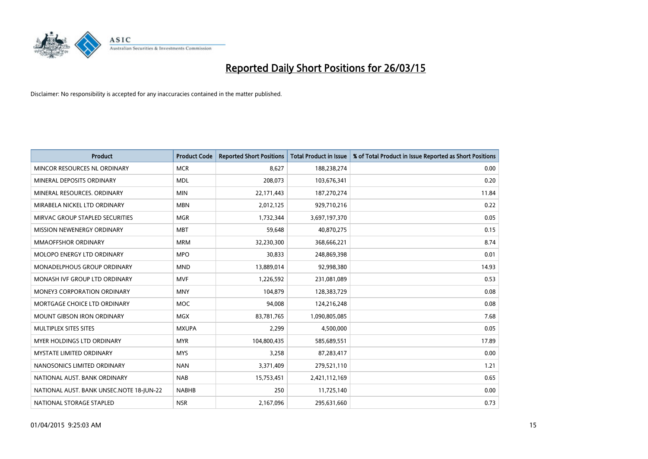

| <b>Product</b>                           | <b>Product Code</b> | <b>Reported Short Positions</b> | <b>Total Product in Issue</b> | % of Total Product in Issue Reported as Short Positions |
|------------------------------------------|---------------------|---------------------------------|-------------------------------|---------------------------------------------------------|
| MINCOR RESOURCES NL ORDINARY             | <b>MCR</b>          | 8,627                           | 188,238,274                   | 0.00                                                    |
| MINERAL DEPOSITS ORDINARY                | <b>MDL</b>          | 208,073                         | 103,676,341                   | 0.20                                                    |
| MINERAL RESOURCES, ORDINARY              | <b>MIN</b>          | 22,171,443                      | 187,270,274                   | 11.84                                                   |
| MIRABELA NICKEL LTD ORDINARY             | <b>MBN</b>          | 2,012,125                       | 929,710,216                   | 0.22                                                    |
| MIRVAC GROUP STAPLED SECURITIES          | <b>MGR</b>          | 1,732,344                       | 3,697,197,370                 | 0.05                                                    |
| MISSION NEWENERGY ORDINARY               | <b>MBT</b>          | 59,648                          | 40,870,275                    | 0.15                                                    |
| <b>MMAOFFSHOR ORDINARY</b>               | <b>MRM</b>          | 32,230,300                      | 368,666,221                   | 8.74                                                    |
| MOLOPO ENERGY LTD ORDINARY               | <b>MPO</b>          | 30,833                          | 248,869,398                   | 0.01                                                    |
| MONADELPHOUS GROUP ORDINARY              | <b>MND</b>          | 13,889,014                      | 92,998,380                    | 14.93                                                   |
| MONASH IVF GROUP LTD ORDINARY            | <b>MVF</b>          | 1,226,592                       | 231,081,089                   | 0.53                                                    |
| MONEY3 CORPORATION ORDINARY              | <b>MNY</b>          | 104,879                         | 128,383,729                   | 0.08                                                    |
| MORTGAGE CHOICE LTD ORDINARY             | <b>MOC</b>          | 94,008                          | 124,216,248                   | 0.08                                                    |
| MOUNT GIBSON IRON ORDINARY               | <b>MGX</b>          | 83,781,765                      | 1,090,805,085                 | 7.68                                                    |
| MULTIPLEX SITES SITES                    | <b>MXUPA</b>        | 2,299                           | 4,500,000                     | 0.05                                                    |
| MYER HOLDINGS LTD ORDINARY               | <b>MYR</b>          | 104,800,435                     | 585,689,551                   | 17.89                                                   |
| MYSTATE LIMITED ORDINARY                 | <b>MYS</b>          | 3,258                           | 87,283,417                    | 0.00                                                    |
| NANOSONICS LIMITED ORDINARY              | <b>NAN</b>          | 3,371,409                       | 279,521,110                   | 1.21                                                    |
| NATIONAL AUST, BANK ORDINARY             | <b>NAB</b>          | 15,753,451                      | 2,421,112,169                 | 0.65                                                    |
| NATIONAL AUST. BANK UNSEC.NOTE 18-JUN-22 | <b>NABHB</b>        | 250                             | 11,725,140                    | 0.00                                                    |
| NATIONAL STORAGE STAPLED                 | <b>NSR</b>          | 2,167,096                       | 295,631,660                   | 0.73                                                    |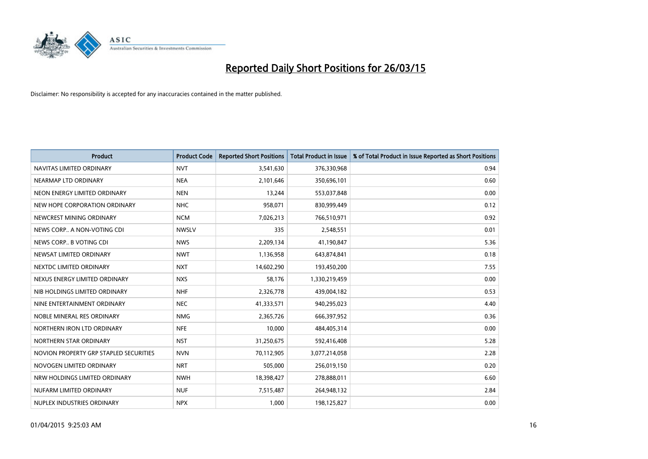

| <b>Product</b>                         | <b>Product Code</b> | <b>Reported Short Positions</b> | <b>Total Product in Issue</b> | % of Total Product in Issue Reported as Short Positions |
|----------------------------------------|---------------------|---------------------------------|-------------------------------|---------------------------------------------------------|
| NAVITAS LIMITED ORDINARY               | <b>NVT</b>          | 3,541,630                       | 376,330,968                   | 0.94                                                    |
| NEARMAP LTD ORDINARY                   | <b>NEA</b>          | 2,101,646                       | 350,696,101                   | 0.60                                                    |
| NEON ENERGY LIMITED ORDINARY           | <b>NEN</b>          | 13,244                          | 553,037,848                   | 0.00                                                    |
| NEW HOPE CORPORATION ORDINARY          | <b>NHC</b>          | 958,071                         | 830,999,449                   | 0.12                                                    |
| NEWCREST MINING ORDINARY               | <b>NCM</b>          | 7,026,213                       | 766,510,971                   | 0.92                                                    |
| NEWS CORP A NON-VOTING CDI             | <b>NWSLV</b>        | 335                             | 2,548,551                     | 0.01                                                    |
| NEWS CORP B VOTING CDI                 | <b>NWS</b>          | 2,209,134                       | 41,190,847                    | 5.36                                                    |
| NEWSAT LIMITED ORDINARY                | <b>NWT</b>          | 1,136,958                       | 643,874,841                   | 0.18                                                    |
| NEXTDC LIMITED ORDINARY                | <b>NXT</b>          | 14,602,290                      | 193,450,200                   | 7.55                                                    |
| NEXUS ENERGY LIMITED ORDINARY          | <b>NXS</b>          | 58,176                          | 1,330,219,459                 | 0.00                                                    |
| NIB HOLDINGS LIMITED ORDINARY          | <b>NHF</b>          | 2,326,778                       | 439,004,182                   | 0.53                                                    |
| NINE ENTERTAINMENT ORDINARY            | <b>NEC</b>          | 41,333,571                      | 940,295,023                   | 4.40                                                    |
| NOBLE MINERAL RES ORDINARY             | <b>NMG</b>          | 2,365,726                       | 666,397,952                   | 0.36                                                    |
| NORTHERN IRON LTD ORDINARY             | <b>NFE</b>          | 10,000                          | 484,405,314                   | 0.00                                                    |
| NORTHERN STAR ORDINARY                 | <b>NST</b>          | 31,250,675                      | 592,416,408                   | 5.28                                                    |
| NOVION PROPERTY GRP STAPLED SECURITIES | <b>NVN</b>          | 70,112,905                      | 3,077,214,058                 | 2.28                                                    |
| NOVOGEN LIMITED ORDINARY               | <b>NRT</b>          | 505,000                         | 256,019,150                   | 0.20                                                    |
| NRW HOLDINGS LIMITED ORDINARY          | <b>NWH</b>          | 18,398,427                      | 278,888,011                   | 6.60                                                    |
| NUFARM LIMITED ORDINARY                | <b>NUF</b>          | 7,515,487                       | 264,948,132                   | 2.84                                                    |
| NUPLEX INDUSTRIES ORDINARY             | <b>NPX</b>          | 1,000                           | 198,125,827                   | 0.00                                                    |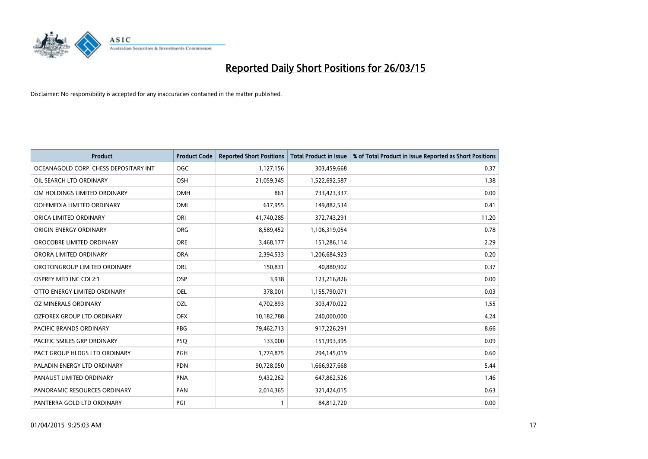

| <b>Product</b>                        | <b>Product Code</b> | <b>Reported Short Positions</b> | <b>Total Product in Issue</b> | % of Total Product in Issue Reported as Short Positions |
|---------------------------------------|---------------------|---------------------------------|-------------------------------|---------------------------------------------------------|
| OCEANAGOLD CORP. CHESS DEPOSITARY INT | <b>OGC</b>          | 1,127,156                       | 303,459,668                   | 0.37                                                    |
| OIL SEARCH LTD ORDINARY               | OSH                 | 21,059,345                      | 1,522,692,587                 | 1.38                                                    |
| OM HOLDINGS LIMITED ORDINARY          | <b>OMH</b>          | 861                             | 733,423,337                   | 0.00                                                    |
| OOH!MEDIA LIMITED ORDINARY            | <b>OML</b>          | 617,955                         | 149,882,534                   | 0.41                                                    |
| ORICA LIMITED ORDINARY                | ORI                 | 41,740,285                      | 372,743,291                   | 11.20                                                   |
| ORIGIN ENERGY ORDINARY                | <b>ORG</b>          | 8,589,452                       | 1,106,319,054                 | 0.78                                                    |
| OROCOBRE LIMITED ORDINARY             | <b>ORE</b>          | 3,468,177                       | 151,286,114                   | 2.29                                                    |
| ORORA LIMITED ORDINARY                | <b>ORA</b>          | 2,394,533                       | 1,206,684,923                 | 0.20                                                    |
| OROTONGROUP LIMITED ORDINARY          | ORL                 | 150,831                         | 40,880,902                    | 0.37                                                    |
| OSPREY MED INC CDI 2:1                | <b>OSP</b>          | 3,938                           | 123,216,826                   | 0.00                                                    |
| OTTO ENERGY LIMITED ORDINARY          | OEL                 | 378,001                         | 1,155,790,071                 | 0.03                                                    |
| OZ MINERALS ORDINARY                  | <b>OZL</b>          | 4,702,893                       | 303,470,022                   | 1.55                                                    |
| OZFOREX GROUP LTD ORDINARY            | <b>OFX</b>          | 10,182,788                      | 240,000,000                   | 4.24                                                    |
| <b>PACIFIC BRANDS ORDINARY</b>        | <b>PBG</b>          | 79,462,713                      | 917,226,291                   | 8.66                                                    |
| PACIFIC SMILES GRP ORDINARY           | <b>PSQ</b>          | 133,000                         | 151,993,395                   | 0.09                                                    |
| PACT GROUP HLDGS LTD ORDINARY         | PGH                 | 1,774,875                       | 294,145,019                   | 0.60                                                    |
| PALADIN ENERGY LTD ORDINARY           | <b>PDN</b>          | 90,728,050                      | 1,666,927,668                 | 5.44                                                    |
| PANAUST LIMITED ORDINARY              | <b>PNA</b>          | 9,432,262                       | 647,862,526                   | 1.46                                                    |
| PANORAMIC RESOURCES ORDINARY          | PAN                 | 2,014,365                       | 321,424,015                   | 0.63                                                    |
| PANTERRA GOLD LTD ORDINARY            | PGI                 |                                 | 84,812,720                    | 0.00                                                    |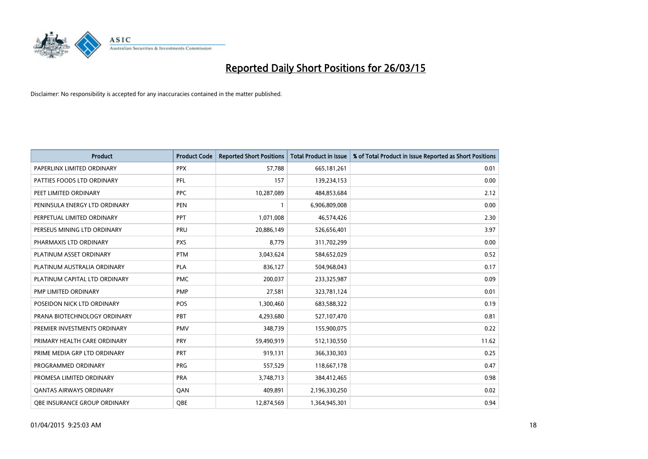

| <b>Product</b>                      | <b>Product Code</b> | <b>Reported Short Positions</b> | <b>Total Product in Issue</b> | % of Total Product in Issue Reported as Short Positions |
|-------------------------------------|---------------------|---------------------------------|-------------------------------|---------------------------------------------------------|
| PAPERLINX LIMITED ORDINARY          | <b>PPX</b>          | 57,788                          | 665, 181, 261                 | 0.01                                                    |
| PATTIES FOODS LTD ORDINARY          | <b>PFL</b>          | 157                             | 139,234,153                   | 0.00                                                    |
| PEET LIMITED ORDINARY               | <b>PPC</b>          | 10,287,089                      | 484,853,684                   | 2.12                                                    |
| PENINSULA ENERGY LTD ORDINARY       | <b>PEN</b>          | 1                               | 6,906,809,008                 | 0.00                                                    |
| PERPETUAL LIMITED ORDINARY          | <b>PPT</b>          | 1,071,008                       | 46,574,426                    | 2.30                                                    |
| PERSEUS MINING LTD ORDINARY         | PRU                 | 20,886,149                      | 526,656,401                   | 3.97                                                    |
| PHARMAXIS LTD ORDINARY              | <b>PXS</b>          | 8,779                           | 311,702,299                   | 0.00                                                    |
| PLATINUM ASSET ORDINARY             | <b>PTM</b>          | 3,043,624                       | 584,652,029                   | 0.52                                                    |
| PLATINUM AUSTRALIA ORDINARY         | <b>PLA</b>          | 836,127                         | 504,968,043                   | 0.17                                                    |
| PLATINUM CAPITAL LTD ORDINARY       | <b>PMC</b>          | 200,037                         | 233,325,987                   | 0.09                                                    |
| PMP LIMITED ORDINARY                | <b>PMP</b>          | 27,581                          | 323,781,124                   | 0.01                                                    |
| POSEIDON NICK LTD ORDINARY          | <b>POS</b>          | 1,300,460                       | 683,588,322                   | 0.19                                                    |
| PRANA BIOTECHNOLOGY ORDINARY        | PBT                 | 4,293,680                       | 527,107,470                   | 0.81                                                    |
| PREMIER INVESTMENTS ORDINARY        | <b>PMV</b>          | 348,739                         | 155,900,075                   | 0.22                                                    |
| PRIMARY HEALTH CARE ORDINARY        | <b>PRY</b>          | 59,490,919                      | 512,130,550                   | 11.62                                                   |
| PRIME MEDIA GRP LTD ORDINARY        | PRT                 | 919,131                         | 366,330,303                   | 0.25                                                    |
| PROGRAMMED ORDINARY                 | <b>PRG</b>          | 557,529                         | 118,667,178                   | 0.47                                                    |
| PROMESA LIMITED ORDINARY            | <b>PRA</b>          | 3,748,713                       | 384,412,465                   | 0.98                                                    |
| <b>QANTAS AIRWAYS ORDINARY</b>      | QAN                 | 409,891                         | 2,196,330,250                 | 0.02                                                    |
| <b>QBE INSURANCE GROUP ORDINARY</b> | OBE                 | 12,874,569                      | 1,364,945,301                 | 0.94                                                    |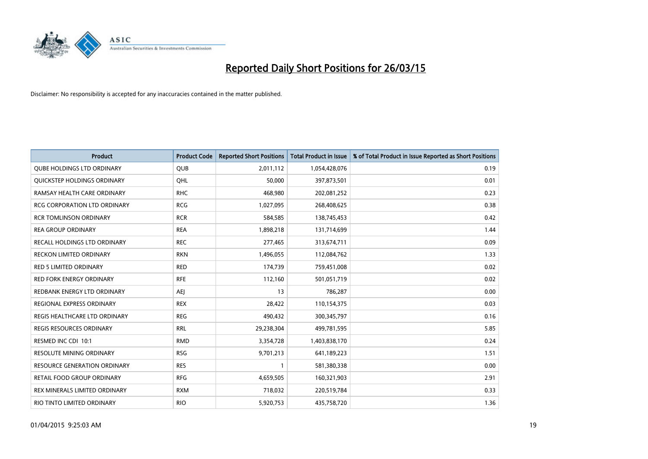

| <b>Product</b>                      | <b>Product Code</b> | <b>Reported Short Positions</b> | <b>Total Product in Issue</b> | % of Total Product in Issue Reported as Short Positions |
|-------------------------------------|---------------------|---------------------------------|-------------------------------|---------------------------------------------------------|
| <b>QUBE HOLDINGS LTD ORDINARY</b>   | QUB                 | 2,011,112                       | 1,054,428,076                 | 0.19                                                    |
| QUICKSTEP HOLDINGS ORDINARY         | QHL                 | 50,000                          | 397,873,501                   | 0.01                                                    |
| RAMSAY HEALTH CARE ORDINARY         | <b>RHC</b>          | 468,980                         | 202,081,252                   | 0.23                                                    |
| <b>RCG CORPORATION LTD ORDINARY</b> | <b>RCG</b>          | 1,027,095                       | 268,408,625                   | 0.38                                                    |
| <b>RCR TOMLINSON ORDINARY</b>       | <b>RCR</b>          | 584,585                         | 138,745,453                   | 0.42                                                    |
| <b>REA GROUP ORDINARY</b>           | <b>REA</b>          | 1,898,218                       | 131,714,699                   | 1.44                                                    |
| <b>RECALL HOLDINGS LTD ORDINARY</b> | <b>REC</b>          | 277,465                         | 313,674,711                   | 0.09                                                    |
| RECKON LIMITED ORDINARY             | <b>RKN</b>          | 1,496,055                       | 112,084,762                   | 1.33                                                    |
| <b>RED 5 LIMITED ORDINARY</b>       | <b>RED</b>          | 174,739                         | 759,451,008                   | 0.02                                                    |
| <b>RED FORK ENERGY ORDINARY</b>     | <b>RFE</b>          | 112,160                         | 501,051,719                   | 0.02                                                    |
| REDBANK ENERGY LTD ORDINARY         | AEJ                 | 13                              | 786,287                       | 0.00                                                    |
| REGIONAL EXPRESS ORDINARY           | <b>REX</b>          | 28,422                          | 110,154,375                   | 0.03                                                    |
| REGIS HEALTHCARE LTD ORDINARY       | <b>REG</b>          | 490,432                         | 300,345,797                   | 0.16                                                    |
| <b>REGIS RESOURCES ORDINARY</b>     | <b>RRL</b>          | 29,238,304                      | 499,781,595                   | 5.85                                                    |
| RESMED INC CDI 10:1                 | <b>RMD</b>          | 3,354,728                       | 1,403,838,170                 | 0.24                                                    |
| <b>RESOLUTE MINING ORDINARY</b>     | <b>RSG</b>          | 9,701,213                       | 641,189,223                   | 1.51                                                    |
| <b>RESOURCE GENERATION ORDINARY</b> | <b>RES</b>          | 1                               | 581,380,338                   | 0.00                                                    |
| <b>RETAIL FOOD GROUP ORDINARY</b>   | <b>RFG</b>          | 4,659,505                       | 160,321,903                   | 2.91                                                    |
| REX MINERALS LIMITED ORDINARY       | <b>RXM</b>          | 718,032                         | 220,519,784                   | 0.33                                                    |
| RIO TINTO LIMITED ORDINARY          | <b>RIO</b>          | 5,920,753                       | 435,758,720                   | 1.36                                                    |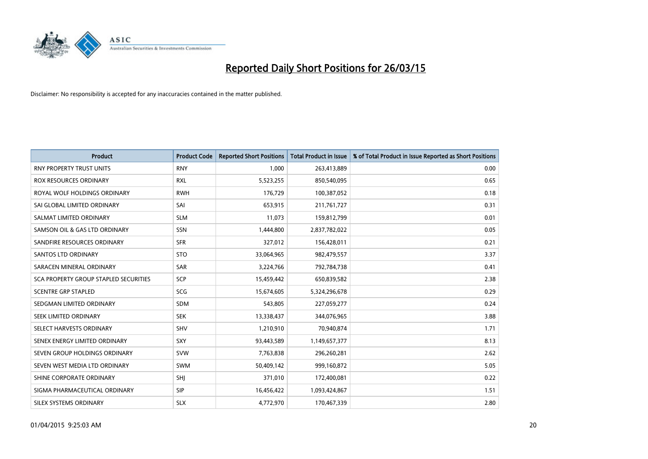

| <b>Product</b>                        | <b>Product Code</b> | <b>Reported Short Positions</b> | <b>Total Product in Issue</b> | % of Total Product in Issue Reported as Short Positions |
|---------------------------------------|---------------------|---------------------------------|-------------------------------|---------------------------------------------------------|
| <b>RNY PROPERTY TRUST UNITS</b>       | <b>RNY</b>          | 1,000                           | 263,413,889                   | 0.00                                                    |
| <b>ROX RESOURCES ORDINARY</b>         | <b>RXL</b>          | 5,523,255                       | 850,540,095                   | 0.65                                                    |
| ROYAL WOLF HOLDINGS ORDINARY          | <b>RWH</b>          | 176,729                         | 100,387,052                   | 0.18                                                    |
| SAI GLOBAL LIMITED ORDINARY           | SAI                 | 653,915                         | 211,761,727                   | 0.31                                                    |
| SALMAT LIMITED ORDINARY               | <b>SLM</b>          | 11,073                          | 159,812,799                   | 0.01                                                    |
| SAMSON OIL & GAS LTD ORDINARY         | SSN                 | 1,444,800                       | 2,837,782,022                 | 0.05                                                    |
| SANDFIRE RESOURCES ORDINARY           | <b>SFR</b>          | 327,012                         | 156,428,011                   | 0.21                                                    |
| <b>SANTOS LTD ORDINARY</b>            | <b>STO</b>          | 33,064,965                      | 982,479,557                   | 3.37                                                    |
| SARACEN MINERAL ORDINARY              | SAR                 | 3,224,766                       | 792,784,738                   | 0.41                                                    |
| SCA PROPERTY GROUP STAPLED SECURITIES | SCP                 | 15,459,442                      | 650,839,582                   | 2.38                                                    |
| <b>SCENTRE GRP STAPLED</b>            | <b>SCG</b>          | 15,674,605                      | 5,324,296,678                 | 0.29                                                    |
| SEDGMAN LIMITED ORDINARY              | SDM                 | 543,805                         | 227,059,277                   | 0.24                                                    |
| SEEK LIMITED ORDINARY                 | <b>SEK</b>          | 13,338,437                      | 344,076,965                   | 3.88                                                    |
| SELECT HARVESTS ORDINARY              | SHV                 | 1,210,910                       | 70,940,874                    | 1.71                                                    |
| SENEX ENERGY LIMITED ORDINARY         | <b>SXY</b>          | 93,443,589                      | 1,149,657,377                 | 8.13                                                    |
| SEVEN GROUP HOLDINGS ORDINARY         | <b>SVW</b>          | 7,763,838                       | 296,260,281                   | 2.62                                                    |
| SEVEN WEST MEDIA LTD ORDINARY         | <b>SWM</b>          | 50,409,142                      | 999,160,872                   | 5.05                                                    |
| SHINE CORPORATE ORDINARY              | SHJ                 | 371,010                         | 172,400,081                   | 0.22                                                    |
| SIGMA PHARMACEUTICAL ORDINARY         | <b>SIP</b>          | 16,456,422                      | 1,093,424,867                 | 1.51                                                    |
| SILEX SYSTEMS ORDINARY                | <b>SLX</b>          | 4,772,970                       | 170,467,339                   | 2.80                                                    |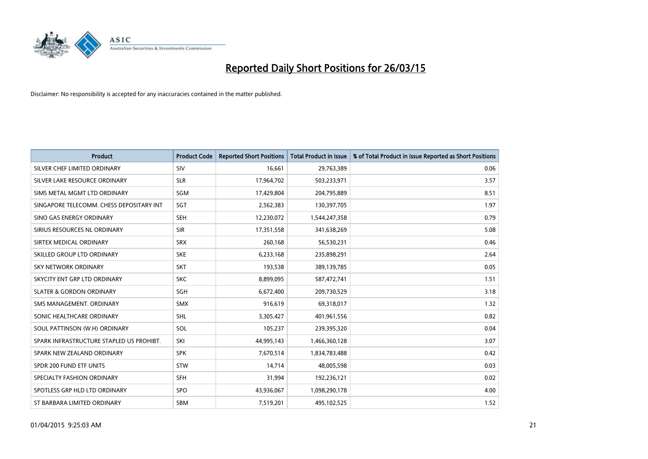

| <b>Product</b>                           | <b>Product Code</b> | <b>Reported Short Positions</b> | <b>Total Product in Issue</b> | % of Total Product in Issue Reported as Short Positions |
|------------------------------------------|---------------------|---------------------------------|-------------------------------|---------------------------------------------------------|
| SILVER CHEF LIMITED ORDINARY             | SIV                 | 16,661                          | 29,763,389                    | 0.06                                                    |
| SILVER LAKE RESOURCE ORDINARY            | <b>SLR</b>          | 17,964,702                      | 503,233,971                   | 3.57                                                    |
| SIMS METAL MGMT LTD ORDINARY             | SGM                 | 17,429,804                      | 204,795,889                   | 8.51                                                    |
| SINGAPORE TELECOMM. CHESS DEPOSITARY INT | SGT                 | 2,562,383                       | 130,397,705                   | 1.97                                                    |
| SINO GAS ENERGY ORDINARY                 | <b>SEH</b>          | 12,230,072                      | 1,544,247,358                 | 0.79                                                    |
| SIRIUS RESOURCES NL ORDINARY             | <b>SIR</b>          | 17,351,558                      | 341,638,269                   | 5.08                                                    |
| SIRTEX MEDICAL ORDINARY                  | <b>SRX</b>          | 260,168                         | 56,530,231                    | 0.46                                                    |
| SKILLED GROUP LTD ORDINARY               | <b>SKE</b>          | 6,233,168                       | 235,898,291                   | 2.64                                                    |
| <b>SKY NETWORK ORDINARY</b>              | <b>SKT</b>          | 193,538                         | 389,139,785                   | 0.05                                                    |
| SKYCITY ENT GRP LTD ORDINARY             | <b>SKC</b>          | 8,899,095                       | 587,472,741                   | 1.51                                                    |
| <b>SLATER &amp; GORDON ORDINARY</b>      | SGH                 | 6,672,400                       | 209,730,529                   | 3.18                                                    |
| SMS MANAGEMENT, ORDINARY                 | SMX                 | 916,619                         | 69,318,017                    | 1.32                                                    |
| SONIC HEALTHCARE ORDINARY                | SHL                 | 3,305,427                       | 401,961,556                   | 0.82                                                    |
| SOUL PATTINSON (W.H) ORDINARY            | SOL                 | 105,237                         | 239,395,320                   | 0.04                                                    |
| SPARK INFRASTRUCTURE STAPLED US PROHIBT. | SKI                 | 44,995,143                      | 1,466,360,128                 | 3.07                                                    |
| SPARK NEW ZEALAND ORDINARY               | <b>SPK</b>          | 7,670,514                       | 1,834,783,488                 | 0.42                                                    |
| SPDR 200 FUND ETF UNITS                  | <b>STW</b>          | 14,714                          | 48,005,598                    | 0.03                                                    |
| SPECIALTY FASHION ORDINARY               | <b>SFH</b>          | 31,994                          | 192,236,121                   | 0.02                                                    |
| SPOTLESS GRP HLD LTD ORDINARY            | <b>SPO</b>          | 43,936,067                      | 1,098,290,178                 | 4.00                                                    |
| ST BARBARA LIMITED ORDINARY              | <b>SBM</b>          | 7,519,201                       | 495,102,525                   | 1.52                                                    |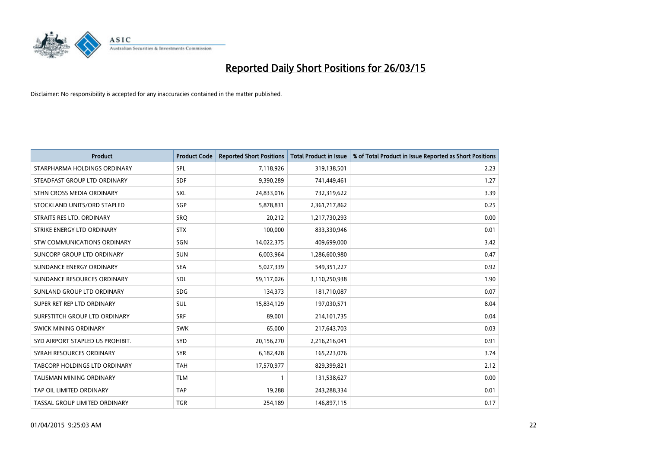

| <b>Product</b>                   | <b>Product Code</b> | <b>Reported Short Positions</b> | <b>Total Product in Issue</b> | % of Total Product in Issue Reported as Short Positions |
|----------------------------------|---------------------|---------------------------------|-------------------------------|---------------------------------------------------------|
| STARPHARMA HOLDINGS ORDINARY     | <b>SPL</b>          | 7,118,926                       | 319,138,501                   | 2.23                                                    |
| STEADFAST GROUP LTD ORDINARY     | <b>SDF</b>          | 9,390,289                       | 741,449,461                   | 1.27                                                    |
| STHN CROSS MEDIA ORDINARY        | <b>SXL</b>          | 24,833,016                      | 732,319,622                   | 3.39                                                    |
| STOCKLAND UNITS/ORD STAPLED      | SGP                 | 5,878,831                       | 2,361,717,862                 | 0.25                                                    |
| STRAITS RES LTD. ORDINARY        | SRO                 | 20,212                          | 1,217,730,293                 | 0.00                                                    |
| STRIKE ENERGY LTD ORDINARY       | <b>STX</b>          | 100,000                         | 833,330,946                   | 0.01                                                    |
| STW COMMUNICATIONS ORDINARY      | SGN                 | 14,022,375                      | 409,699,000                   | 3.42                                                    |
| SUNCORP GROUP LTD ORDINARY       | <b>SUN</b>          | 6,003,964                       | 1,286,600,980                 | 0.47                                                    |
| SUNDANCE ENERGY ORDINARY         | <b>SEA</b>          | 5,027,339                       | 549,351,227                   | 0.92                                                    |
| SUNDANCE RESOURCES ORDINARY      | <b>SDL</b>          | 59,117,026                      | 3,110,250,938                 | 1.90                                                    |
| SUNLAND GROUP LTD ORDINARY       | <b>SDG</b>          | 134,373                         | 181,710,087                   | 0.07                                                    |
| SUPER RET REP LTD ORDINARY       | <b>SUL</b>          | 15,834,129                      | 197,030,571                   | 8.04                                                    |
| SURFSTITCH GROUP LTD ORDINARY    | <b>SRF</b>          | 89,001                          | 214, 101, 735                 | 0.04                                                    |
| SWICK MINING ORDINARY            | <b>SWK</b>          | 65,000                          | 217,643,703                   | 0.03                                                    |
| SYD AIRPORT STAPLED US PROHIBIT. | SYD                 | 20,156,270                      | 2,216,216,041                 | 0.91                                                    |
| SYRAH RESOURCES ORDINARY         | <b>SYR</b>          | 6,182,428                       | 165,223,076                   | 3.74                                                    |
| TABCORP HOLDINGS LTD ORDINARY    | <b>TAH</b>          | 17,570,977                      | 829,399,821                   | 2.12                                                    |
| TALISMAN MINING ORDINARY         | <b>TLM</b>          | $\mathbf{1}$                    | 131,538,627                   | 0.00                                                    |
| TAP OIL LIMITED ORDINARY         | <b>TAP</b>          | 19,288                          | 243,288,334                   | 0.01                                                    |
| TASSAL GROUP LIMITED ORDINARY    | <b>TGR</b>          | 254,189                         | 146,897,115                   | 0.17                                                    |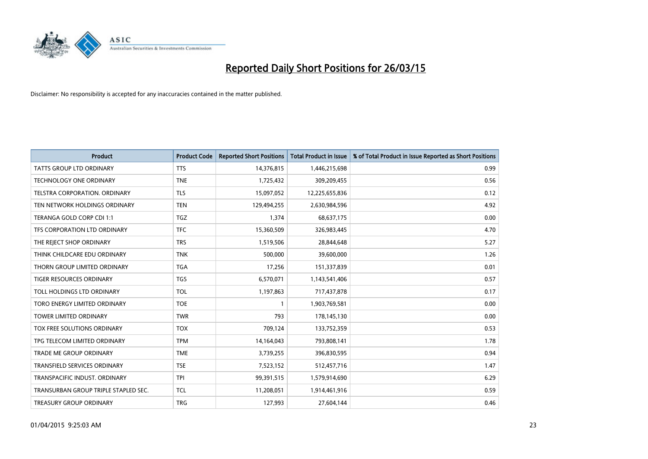

| <b>Product</b>                       | <b>Product Code</b> | <b>Reported Short Positions</b> | <b>Total Product in Issue</b> | % of Total Product in Issue Reported as Short Positions |
|--------------------------------------|---------------------|---------------------------------|-------------------------------|---------------------------------------------------------|
| <b>TATTS GROUP LTD ORDINARY</b>      | <b>TTS</b>          | 14,376,815                      | 1,446,215,698                 | 0.99                                                    |
| TECHNOLOGY ONE ORDINARY              | <b>TNE</b>          | 1,725,432                       | 309,209,455                   | 0.56                                                    |
| <b>TELSTRA CORPORATION, ORDINARY</b> | <b>TLS</b>          | 15,097,052                      | 12,225,655,836                | 0.12                                                    |
| TEN NETWORK HOLDINGS ORDINARY        | <b>TEN</b>          | 129,494,255                     | 2,630,984,596                 | 4.92                                                    |
| TERANGA GOLD CORP CDI 1:1            | <b>TGZ</b>          | 1,374                           | 68,637,175                    | 0.00                                                    |
| TFS CORPORATION LTD ORDINARY         | <b>TFC</b>          | 15,360,509                      | 326,983,445                   | 4.70                                                    |
| THE REJECT SHOP ORDINARY             | <b>TRS</b>          | 1,519,506                       | 28,844,648                    | 5.27                                                    |
| THINK CHILDCARE EDU ORDINARY         | <b>TNK</b>          | 500,000                         | 39,600,000                    | 1.26                                                    |
| THORN GROUP LIMITED ORDINARY         | <b>TGA</b>          | 17,256                          | 151,337,839                   | 0.01                                                    |
| <b>TIGER RESOURCES ORDINARY</b>      | <b>TGS</b>          | 6,570,071                       | 1,143,541,406                 | 0.57                                                    |
| TOLL HOLDINGS LTD ORDINARY           | <b>TOL</b>          | 1,197,863                       | 717,437,878                   | 0.17                                                    |
| TORO ENERGY LIMITED ORDINARY         | <b>TOE</b>          |                                 | 1,903,769,581                 | 0.00                                                    |
| TOWER LIMITED ORDINARY               | <b>TWR</b>          | 793                             | 178,145,130                   | 0.00                                                    |
| TOX FREE SOLUTIONS ORDINARY          | <b>TOX</b>          | 709,124                         | 133,752,359                   | 0.53                                                    |
| TPG TELECOM LIMITED ORDINARY         | <b>TPM</b>          | 14,164,043                      | 793,808,141                   | 1.78                                                    |
| TRADE ME GROUP ORDINARY              | <b>TME</b>          | 3,739,255                       | 396,830,595                   | 0.94                                                    |
| TRANSFIELD SERVICES ORDINARY         | <b>TSE</b>          | 7,523,152                       | 512,457,716                   | 1.47                                                    |
| TRANSPACIFIC INDUST. ORDINARY        | <b>TPI</b>          | 99,391,515                      | 1,579,914,690                 | 6.29                                                    |
| TRANSURBAN GROUP TRIPLE STAPLED SEC. | <b>TCL</b>          | 11,208,051                      | 1,914,461,916                 | 0.59                                                    |
| TREASURY GROUP ORDINARY              | <b>TRG</b>          | 127,993                         | 27,604,144                    | 0.46                                                    |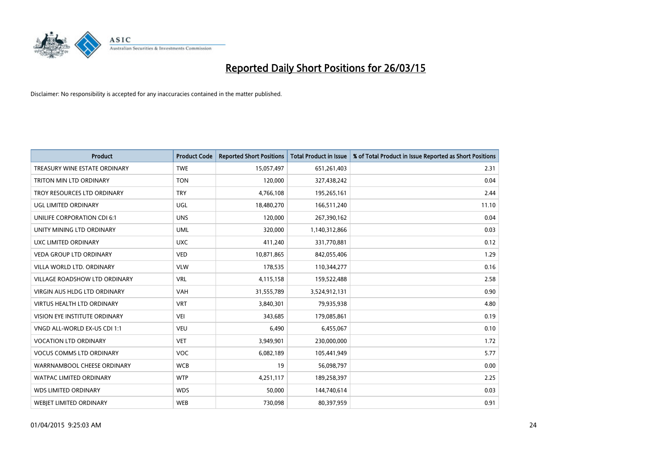

| <b>Product</b>                       | <b>Product Code</b> | <b>Reported Short Positions</b> | <b>Total Product in Issue</b> | % of Total Product in Issue Reported as Short Positions |
|--------------------------------------|---------------------|---------------------------------|-------------------------------|---------------------------------------------------------|
| TREASURY WINE ESTATE ORDINARY        | <b>TWE</b>          | 15,057,497                      | 651,261,403                   | 2.31                                                    |
| TRITON MIN LTD ORDINARY              | <b>TON</b>          | 120,000                         | 327,438,242                   | 0.04                                                    |
| TROY RESOURCES LTD ORDINARY          | <b>TRY</b>          | 4,766,108                       | 195,265,161                   | 2.44                                                    |
| <b>UGL LIMITED ORDINARY</b>          | UGL                 | 18,480,270                      | 166,511,240                   | 11.10                                                   |
| UNILIFE CORPORATION CDI 6:1          | <b>UNS</b>          | 120,000                         | 267,390,162                   | 0.04                                                    |
| UNITY MINING LTD ORDINARY            | <b>UML</b>          | 320,000                         | 1,140,312,866                 | 0.03                                                    |
| UXC LIMITED ORDINARY                 | <b>UXC</b>          | 411,240                         | 331,770,881                   | 0.12                                                    |
| VEDA GROUP LTD ORDINARY              | <b>VED</b>          | 10,871,865                      | 842,055,406                   | 1.29                                                    |
| VILLA WORLD LTD, ORDINARY            | <b>VLW</b>          | 178,535                         | 110,344,277                   | 0.16                                                    |
| <b>VILLAGE ROADSHOW LTD ORDINARY</b> | <b>VRL</b>          | 4,115,158                       | 159,522,488                   | 2.58                                                    |
| <b>VIRGIN AUS HLDG LTD ORDINARY</b>  | <b>VAH</b>          | 31,555,789                      | 3,524,912,131                 | 0.90                                                    |
| <b>VIRTUS HEALTH LTD ORDINARY</b>    | <b>VRT</b>          | 3,840,301                       | 79,935,938                    | 4.80                                                    |
| <b>VISION EYE INSTITUTE ORDINARY</b> | <b>VEI</b>          | 343,685                         | 179,085,861                   | 0.19                                                    |
| VNGD ALL-WORLD EX-US CDI 1:1         | <b>VEU</b>          | 6,490                           | 6,455,067                     | 0.10                                                    |
| <b>VOCATION LTD ORDINARY</b>         | <b>VET</b>          | 3,949,901                       | 230,000,000                   | 1.72                                                    |
| <b>VOCUS COMMS LTD ORDINARY</b>      | <b>VOC</b>          | 6,082,189                       | 105,441,949                   | 5.77                                                    |
| WARRNAMBOOL CHEESE ORDINARY          | <b>WCB</b>          | 19                              | 56,098,797                    | 0.00                                                    |
| WATPAC LIMITED ORDINARY              | <b>WTP</b>          | 4,251,117                       | 189,258,397                   | 2.25                                                    |
| <b>WDS LIMITED ORDINARY</b>          | <b>WDS</b>          | 50,000                          | 144,740,614                   | 0.03                                                    |
| <b>WEBJET LIMITED ORDINARY</b>       | <b>WEB</b>          | 730,098                         | 80,397,959                    | 0.91                                                    |